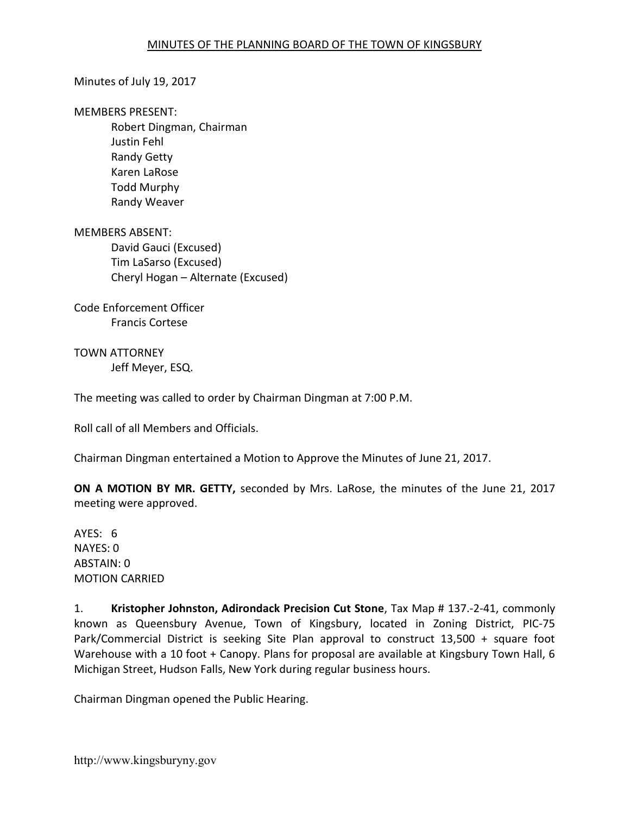#### Minutes of July 19, 2017

#### MEMBERS PRESENT:

Robert Dingman, Chairman Justin Fehl Randy Getty Karen LaRose Todd Murphy Randy Weaver

MEMBERS ABSENT: David Gauci (Excused) Tim LaSarso (Excused) Cheryl Hogan – Alternate (Excused)

Code Enforcement Officer Francis Cortese

TOWN ATTORNEY Jeff Meyer, ESQ.

The meeting was called to order by Chairman Dingman at 7:00 P.M.

Roll call of all Members and Officials.

Chairman Dingman entertained a Motion to Approve the Minutes of June 21, 2017.

ON A MOTION BY MR. GETTY, seconded by Mrs. LaRose, the minutes of the June 21, 2017 meeting were approved.

AYES: 6 NAYES: 0 ABSTAIN: 0 MOTION CARRIED

1. Kristopher Johnston, Adirondack Precision Cut Stone, Tax Map # 137.-2-41, commonly known as Queensbury Avenue, Town of Kingsbury, located in Zoning District, PIC-75 Park/Commercial District is seeking Site Plan approval to construct 13,500 + square foot Warehouse with a 10 foot + Canopy. Plans for proposal are available at Kingsbury Town Hall, 6 Michigan Street, Hudson Falls, New York during regular business hours.

Chairman Dingman opened the Public Hearing.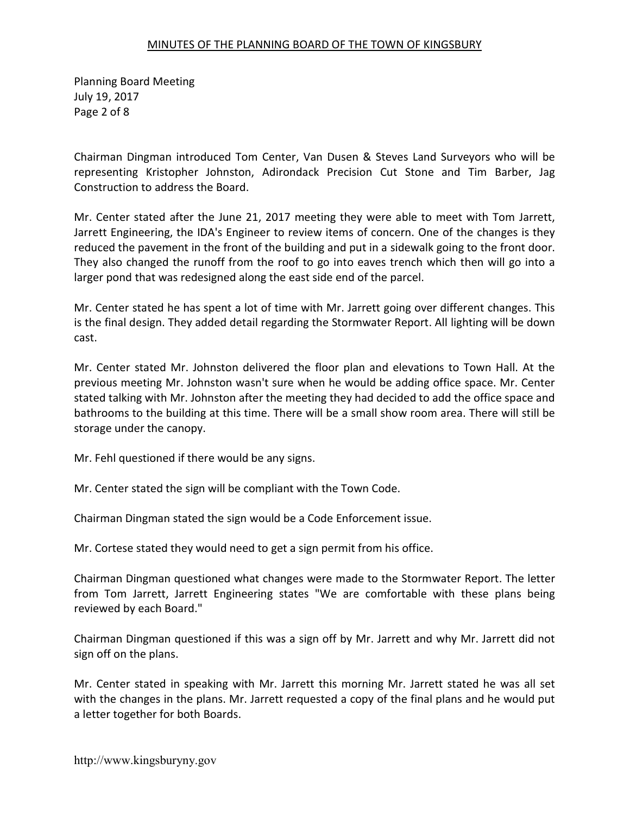Planning Board Meeting July 19, 2017 Page 2 of 8

Chairman Dingman introduced Tom Center, Van Dusen & Steves Land Surveyors who will be representing Kristopher Johnston, Adirondack Precision Cut Stone and Tim Barber, Jag Construction to address the Board.

Mr. Center stated after the June 21, 2017 meeting they were able to meet with Tom Jarrett, Jarrett Engineering, the IDA's Engineer to review items of concern. One of the changes is they reduced the pavement in the front of the building and put in a sidewalk going to the front door. They also changed the runoff from the roof to go into eaves trench which then will go into a larger pond that was redesigned along the east side end of the parcel.

Mr. Center stated he has spent a lot of time with Mr. Jarrett going over different changes. This is the final design. They added detail regarding the Stormwater Report. All lighting will be down cast.

Mr. Center stated Mr. Johnston delivered the floor plan and elevations to Town Hall. At the previous meeting Mr. Johnston wasn't sure when he would be adding office space. Mr. Center stated talking with Mr. Johnston after the meeting they had decided to add the office space and bathrooms to the building at this time. There will be a small show room area. There will still be storage under the canopy.

Mr. Fehl questioned if there would be any signs.

Mr. Center stated the sign will be compliant with the Town Code.

Chairman Dingman stated the sign would be a Code Enforcement issue.

Mr. Cortese stated they would need to get a sign permit from his office.

Chairman Dingman questioned what changes were made to the Stormwater Report. The letter from Tom Jarrett, Jarrett Engineering states "We are comfortable with these plans being reviewed by each Board."

Chairman Dingman questioned if this was a sign off by Mr. Jarrett and why Mr. Jarrett did not sign off on the plans.

Mr. Center stated in speaking with Mr. Jarrett this morning Mr. Jarrett stated he was all set with the changes in the plans. Mr. Jarrett requested a copy of the final plans and he would put a letter together for both Boards.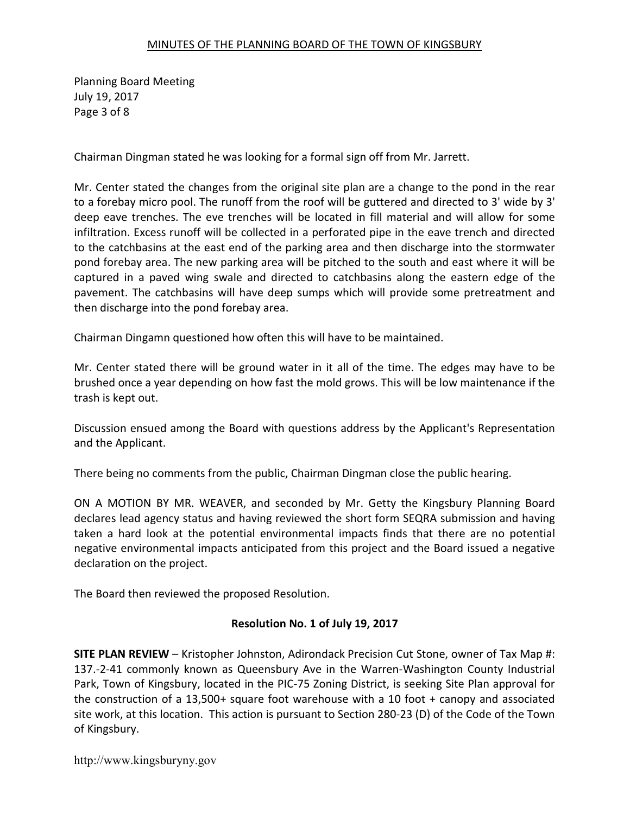Planning Board Meeting July 19, 2017 Page 3 of 8

Chairman Dingman stated he was looking for a formal sign off from Mr. Jarrett.

Mr. Center stated the changes from the original site plan are a change to the pond in the rear to a forebay micro pool. The runoff from the roof will be guttered and directed to 3' wide by 3' deep eave trenches. The eve trenches will be located in fill material and will allow for some infiltration. Excess runoff will be collected in a perforated pipe in the eave trench and directed to the catchbasins at the east end of the parking area and then discharge into the stormwater pond forebay area. The new parking area will be pitched to the south and east where it will be captured in a paved wing swale and directed to catchbasins along the eastern edge of the pavement. The catchbasins will have deep sumps which will provide some pretreatment and then discharge into the pond forebay area.

Chairman Dingamn questioned how often this will have to be maintained.

Mr. Center stated there will be ground water in it all of the time. The edges may have to be brushed once a year depending on how fast the mold grows. This will be low maintenance if the trash is kept out.

Discussion ensued among the Board with questions address by the Applicant's Representation and the Applicant.

There being no comments from the public, Chairman Dingman close the public hearing.

ON A MOTION BY MR. WEAVER, and seconded by Mr. Getty the Kingsbury Planning Board declares lead agency status and having reviewed the short form SEQRA submission and having taken a hard look at the potential environmental impacts finds that there are no potential negative environmental impacts anticipated from this project and the Board issued a negative declaration on the project.

The Board then reviewed the proposed Resolution.

# Resolution No. 1 of July 19, 2017

SITE PLAN REVIEW – Kristopher Johnston, Adirondack Precision Cut Stone, owner of Tax Map #: 137.-2-41 commonly known as Queensbury Ave in the Warren-Washington County Industrial Park, Town of Kingsbury, located in the PIC-75 Zoning District, is seeking Site Plan approval for the construction of a 13,500+ square foot warehouse with a 10 foot + canopy and associated site work, at this location. This action is pursuant to Section 280-23 (D) of the Code of the Town of Kingsbury.

http://www.kingsburyny.gov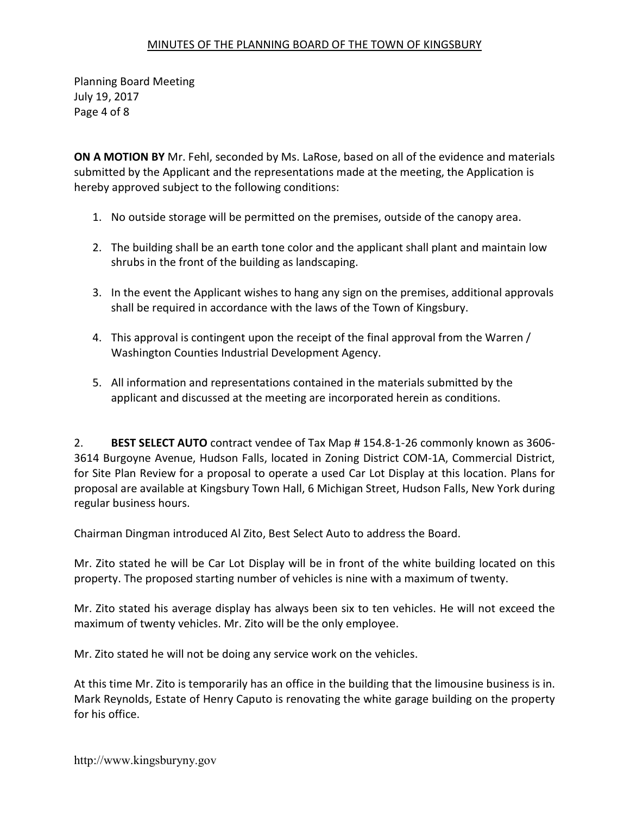Planning Board Meeting July 19, 2017 Page 4 of 8

ON A MOTION BY Mr. Fehl, seconded by Ms. LaRose, based on all of the evidence and materials submitted by the Applicant and the representations made at the meeting, the Application is hereby approved subject to the following conditions:

- 1. No outside storage will be permitted on the premises, outside of the canopy area.
- 2. The building shall be an earth tone color and the applicant shall plant and maintain low shrubs in the front of the building as landscaping.
- 3. In the event the Applicant wishes to hang any sign on the premises, additional approvals shall be required in accordance with the laws of the Town of Kingsbury.
- 4. This approval is contingent upon the receipt of the final approval from the Warren / Washington Counties Industrial Development Agency.
- 5. All information and representations contained in the materials submitted by the applicant and discussed at the meeting are incorporated herein as conditions.

2. BEST SELECT AUTO contract vendee of Tax Map # 154.8-1-26 commonly known as 3606- 3614 Burgoyne Avenue, Hudson Falls, located in Zoning District COM-1A, Commercial District, for Site Plan Review for a proposal to operate a used Car Lot Display at this location. Plans for proposal are available at Kingsbury Town Hall, 6 Michigan Street, Hudson Falls, New York during regular business hours.

Chairman Dingman introduced Al Zito, Best Select Auto to address the Board.

Mr. Zito stated he will be Car Lot Display will be in front of the white building located on this property. The proposed starting number of vehicles is nine with a maximum of twenty.

Mr. Zito stated his average display has always been six to ten vehicles. He will not exceed the maximum of twenty vehicles. Mr. Zito will be the only employee.

Mr. Zito stated he will not be doing any service work on the vehicles.

At this time Mr. Zito is temporarily has an office in the building that the limousine business is in. Mark Reynolds, Estate of Henry Caputo is renovating the white garage building on the property for his office.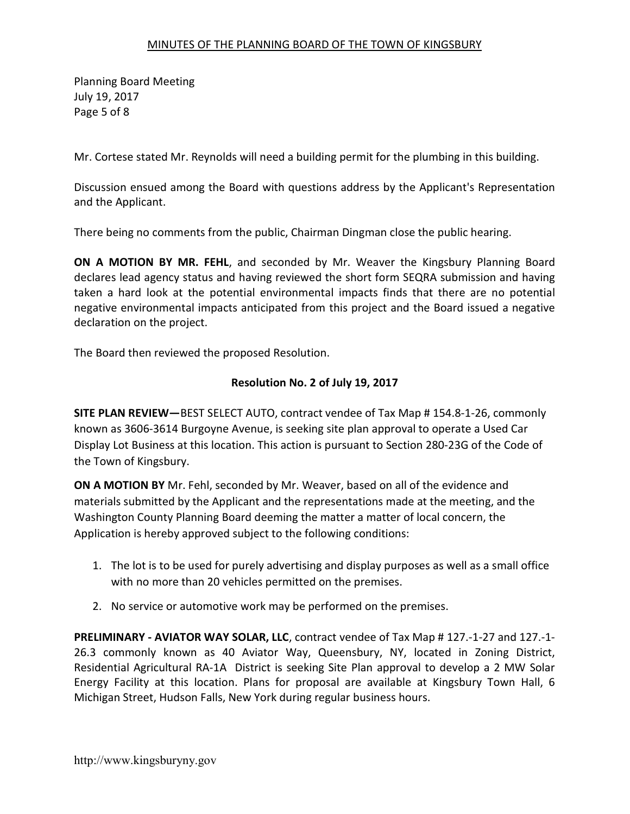Planning Board Meeting July 19, 2017 Page 5 of 8

Mr. Cortese stated Mr. Reynolds will need a building permit for the plumbing in this building.

Discussion ensued among the Board with questions address by the Applicant's Representation and the Applicant.

There being no comments from the public, Chairman Dingman close the public hearing.

ON A MOTION BY MR. FEHL, and seconded by Mr. Weaver the Kingsbury Planning Board declares lead agency status and having reviewed the short form SEQRA submission and having taken a hard look at the potential environmental impacts finds that there are no potential negative environmental impacts anticipated from this project and the Board issued a negative declaration on the project.

The Board then reviewed the proposed Resolution.

# Resolution No. 2 of July 19, 2017

SITE PLAN REVIEW—BEST SELECT AUTO, contract vendee of Tax Map # 154.8-1-26, commonly known as 3606-3614 Burgoyne Avenue, is seeking site plan approval to operate a Used Car Display Lot Business at this location. This action is pursuant to Section 280-23G of the Code of the Town of Kingsbury.

ON A MOTION BY Mr. Fehl, seconded by Mr. Weaver, based on all of the evidence and materials submitted by the Applicant and the representations made at the meeting, and the Washington County Planning Board deeming the matter a matter of local concern, the Application is hereby approved subject to the following conditions:

- 1. The lot is to be used for purely advertising and display purposes as well as a small office with no more than 20 vehicles permitted on the premises.
- 2. No service or automotive work may be performed on the premises.

PRELIMINARY - AVIATOR WAY SOLAR, LLC, contract vendee of Tax Map # 127.-1-27 and 127.-1- 26.3 commonly known as 40 Aviator Way, Queensbury, NY, located in Zoning District, Residential Agricultural RA-1A District is seeking Site Plan approval to develop a 2 MW Solar Energy Facility at this location. Plans for proposal are available at Kingsbury Town Hall, 6 Michigan Street, Hudson Falls, New York during regular business hours.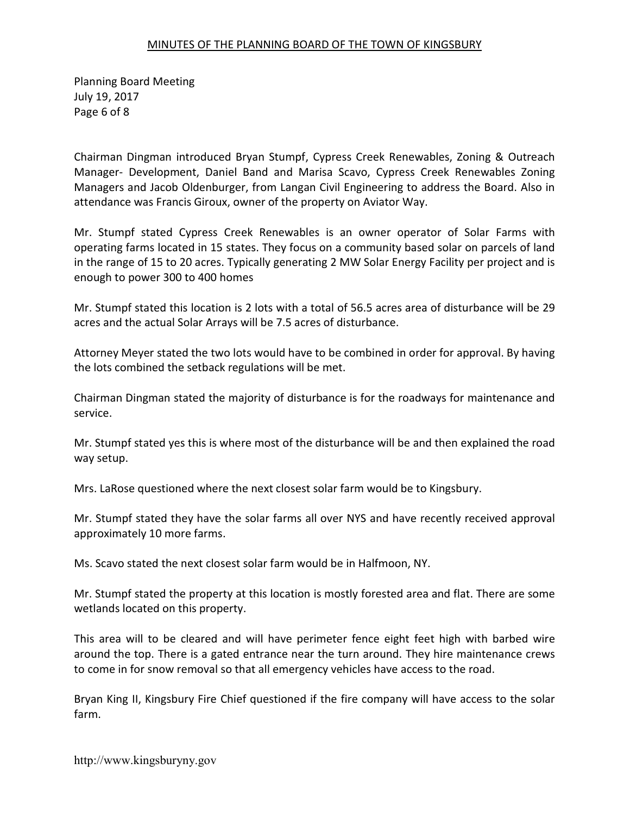Planning Board Meeting July 19, 2017 Page 6 of 8

Chairman Dingman introduced Bryan Stumpf, Cypress Creek Renewables, Zoning & Outreach Manager- Development, Daniel Band and Marisa Scavo, Cypress Creek Renewables Zoning Managers and Jacob Oldenburger, from Langan Civil Engineering to address the Board. Also in attendance was Francis Giroux, owner of the property on Aviator Way.

Mr. Stumpf stated Cypress Creek Renewables is an owner operator of Solar Farms with operating farms located in 15 states. They focus on a community based solar on parcels of land in the range of 15 to 20 acres. Typically generating 2 MW Solar Energy Facility per project and is enough to power 300 to 400 homes

Mr. Stumpf stated this location is 2 lots with a total of 56.5 acres area of disturbance will be 29 acres and the actual Solar Arrays will be 7.5 acres of disturbance.

Attorney Meyer stated the two lots would have to be combined in order for approval. By having the lots combined the setback regulations will be met.

Chairman Dingman stated the majority of disturbance is for the roadways for maintenance and service.

Mr. Stumpf stated yes this is where most of the disturbance will be and then explained the road way setup.

Mrs. LaRose questioned where the next closest solar farm would be to Kingsbury.

Mr. Stumpf stated they have the solar farms all over NYS and have recently received approval approximately 10 more farms.

Ms. Scavo stated the next closest solar farm would be in Halfmoon, NY.

Mr. Stumpf stated the property at this location is mostly forested area and flat. There are some wetlands located on this property.

This area will to be cleared and will have perimeter fence eight feet high with barbed wire around the top. There is a gated entrance near the turn around. They hire maintenance crews to come in for snow removal so that all emergency vehicles have access to the road.

Bryan King II, Kingsbury Fire Chief questioned if the fire company will have access to the solar farm.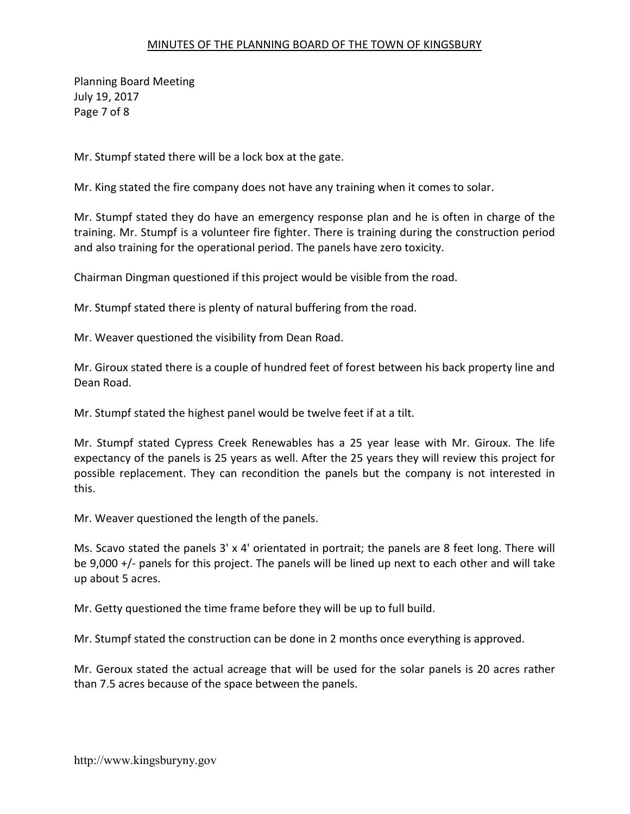Planning Board Meeting July 19, 2017 Page 7 of 8

Mr. Stumpf stated there will be a lock box at the gate.

Mr. King stated the fire company does not have any training when it comes to solar.

Mr. Stumpf stated they do have an emergency response plan and he is often in charge of the training. Mr. Stumpf is a volunteer fire fighter. There is training during the construction period and also training for the operational period. The panels have zero toxicity.

Chairman Dingman questioned if this project would be visible from the road.

Mr. Stumpf stated there is plenty of natural buffering from the road.

Mr. Weaver questioned the visibility from Dean Road.

Mr. Giroux stated there is a couple of hundred feet of forest between his back property line and Dean Road.

Mr. Stumpf stated the highest panel would be twelve feet if at a tilt.

Mr. Stumpf stated Cypress Creek Renewables has a 25 year lease with Mr. Giroux. The life expectancy of the panels is 25 years as well. After the 25 years they will review this project for possible replacement. They can recondition the panels but the company is not interested in this.

Mr. Weaver questioned the length of the panels.

Ms. Scavo stated the panels 3' x 4' orientated in portrait; the panels are 8 feet long. There will be 9,000 +/- panels for this project. The panels will be lined up next to each other and will take up about 5 acres.

Mr. Getty questioned the time frame before they will be up to full build.

Mr. Stumpf stated the construction can be done in 2 months once everything is approved.

Mr. Geroux stated the actual acreage that will be used for the solar panels is 20 acres rather than 7.5 acres because of the space between the panels.